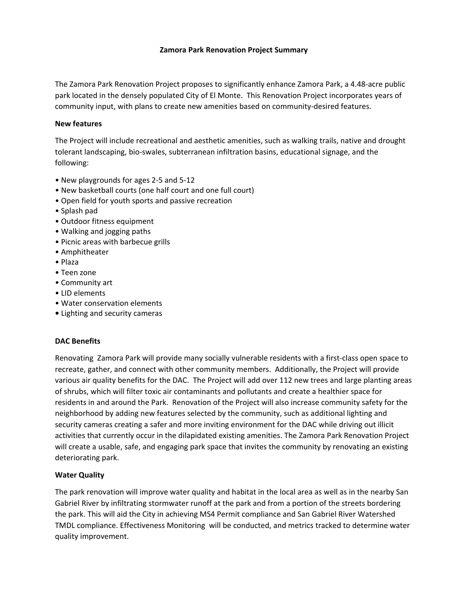### **Zamora Park Renovation Project Summary**

The Zamora Park Renovation Project proposes to significantly enhance Zamora Park, a 4.48‐acre public park located in the densely populated City of El Monte. This Renovation Project incorporates years of community input, with plans to create new amenities based on community‐desired features.

### **New features**

The Project will include recreational and aesthetic amenities, such as walking trails, native and drought tolerant landscaping, bio‐swales, subterranean infiltration basins, educational signage, and the following:

- New playgrounds for ages 2‐5 and 5‐12
- New basketball courts (one half court and one full court)
- Open field for youth sports and passive recreation
- Splash pad
- Outdoor fitness equipment
- Walking and jogging paths
- Picnic areas with barbecue grills
- Amphitheater
- Plaza
- Teen zone
- Community art
- LID elements
- Water conservation elements
- **•** Lighting and security cameras

### **DAC Benefits**

Renovating Zamora Park will provide many socially vulnerable residents with a first‐class open space to recreate, gather, and connect with other community members. Additionally, the Project will provide various air quality benefits for the DAC. The Project will add over 112 new trees and large planting areas of shrubs, which will filter toxic air contaminants and pollutants and create a healthier space for residents in and around the Park. Renovation of the Project will also increase community safety for the neighborhood by adding new features selected by the community, such as additional lighting and security cameras creating a safer and more inviting environment for the DAC while driving out illicit activities that currently occur in the dilapidated existing amenities. The Zamora Park Renovation Project will create a usable, safe, and engaging park space that invites the community by renovating an existing deteriorating park.

### **Water Quality**

The park renovation will improve water quality and habitat in the local area as well as in the nearby San Gabriel River by infiltrating stormwater runoff at the park and from a portion of the streets bordering the park. This will aid the City in achieving MS4 Permit compliance and San Gabriel River Watershed TMDL compliance. Effectiveness Monitoring will be conducted, and metrics tracked to determine water quality improvement.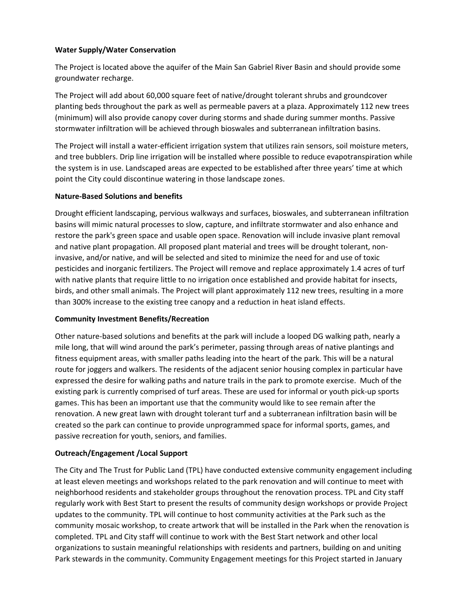## **Water Supply/Water Conservation**

The Project is located above the aquifer of the Main San Gabriel River Basin and should provide some groundwater recharge.

The Project will add about 60,000 square feet of native/drought tolerant shrubs and groundcover planting beds throughout the park as well as permeable pavers at a plaza. Approximately 112 new trees (minimum) will also provide canopy cover during storms and shade during summer months. Passive stormwater infiltration will be achieved through bioswales and subterranean infiltration basins.

The Project will install a water‐efficient irrigation system that utilizes rain sensors, soil moisture meters, and tree bubblers. Drip line irrigation will be installed where possible to reduce evapotranspiration while the system is in use. Landscaped areas are expected to be established after three years' time at which point the City could discontinue watering in those landscape zones.

## **Nature‐Based Solutions and benefits**

Drought efficient landscaping, pervious walkways and surfaces, bioswales, and subterranean infiltration basins will mimic natural processes to slow, capture, and infiltrate stormwater and also enhance and restore the park's green space and usable open space. Renovation will include invasive plant removal and native plant propagation. All proposed plant material and trees will be drought tolerant, non‐ invasive, and/or native, and will be selected and sited to minimize the need for and use of toxic pesticides and inorganic fertilizers. The Project will remove and replace approximately 1.4 acres of turf with native plants that require little to no irrigation once established and provide habitat for insects, birds, and other small animals. The Project will plant approximately 112 new trees, resulting in a more than 300% increase to the existing tree canopy and a reduction in heat island effects.

### **Community Investment Benefits/Recreation**

Other nature‐based solutions and benefits at the park will include a looped DG walking path, nearly a mile long, that will wind around the park's perimeter, passing through areas of native plantings and fitness equipment areas, with smaller paths leading into the heart of the park. This will be a natural route for joggers and walkers. The residents of the adjacent senior housing complex in particular have expressed the desire for walking paths and nature trails in the park to promote exercise. Much of the existing park is currently comprised of turf areas. These are used for informal or youth pick‐up sports games. This has been an important use that the community would like to see remain after the renovation. A new great lawn with drought tolerant turf and a subterranean infiltration basin will be created so the park can continue to provide unprogrammed space for informal sports, games, and passive recreation for youth, seniors, and families.

# **Outreach/Engagement /Local Support**

The City and The Trust for Public Land (TPL) have conducted extensive community engagement including at least eleven meetings and workshops related to the park renovation and will continue to meet with neighborhood residents and stakeholder groups throughout the renovation process. TPL and City staff regularly work with Best Start to present the results of community design workshops or provide Project updates to the community. TPL will continue to host community activities at the Park such as the community mosaic workshop, to create artwork that will be installed in the Park when the renovation is completed. TPL and City staff will continue to work with the Best Start network and other local organizations to sustain meaningful relationships with residents and partners, building on and uniting Park stewards in the community. Community Engagement meetings for this Project started in January